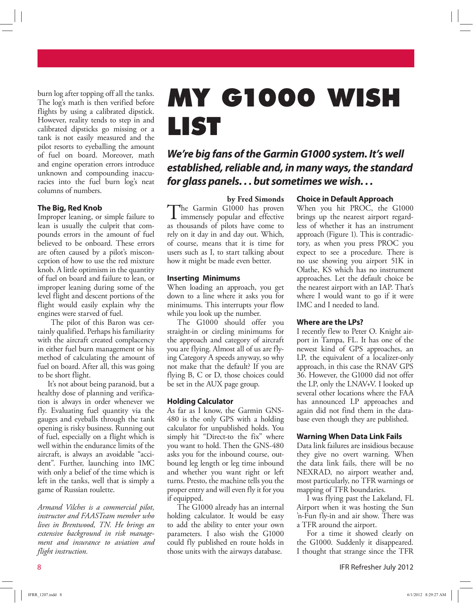burn log after topping off all the tanks. The log's math is then verified before flights by using a calibrated dipstick. However, reality tends to step in and calibrated dipsticks go missing or a tank is not easily measured and the pilot resorts to eyeballing the amount of fuel on board. Moreover, math and engine operation errors introduce unknown and compounding inaccuracies into the fuel burn log's neat columns of numbers.

## **The Big, Red Knob**

Improper leaning, or simple failure to lean is usually the culprit that compounds errors in the amount of fuel believed to be onboard. These errors are often caused by a pilot's misconception of how to use the red mixture knob. A little optimism in the quantity of fuel on board and failure to lean, or improper leaning during some of the level flight and descent portions of the flight would easily explain why the engines were starved of fuel.

 The pilot of this Baron was certainly qualified. Perhaps his familiarity with the aircraft created complacency in either fuel burn management or his method of calculating the amount of fuel on board. After all, this was going to be short flight.

It's not about being paranoid, but a healthy dose of planning and verification is always in order whenever we fly. Evaluating fuel quantity via the gauges and eyeballs through the tank opening is risky business. Running out of fuel, especially on a flight which is well within the endurance limits of the aircraft, is always an avoidable "accident". Further, launching into IMC with only a belief of the time which is left in the tanks, well that is simply a game of Russian roulette.

*Armand Vilches is a commercial pilot, instructor and FAASTeam member who lives in Brentwood, TN. He brings an extensive background in risk management and insurance to aviation and flight instruction.*

# **MY G1000 WISH LIST**

**We're big fans of the Garmin G1000 system. It's well established, reliable and, in many ways, the standard for glass panels. . . but sometimes we wish. . .**

**by Fred Simonds** The Garmin G1000 has proven<br>immensely popular and effective **L** immensely popular and effective as thousands of pilots have come to rely on it day in and day out. Which, of course, means that it is time for users such as I, to start talking about how it might be made even better.

#### **Inserting Minimums**

When loading an approach, you get down to a line where it asks you for minimums. This interrupts your flow while you look up the number.

The G1000 should offer you straight-in or circling minimums for the approach and category of aircraft you are flying. Almost all of us are flying Category A speeds anyway, so why not make that the default? If you are flying B, C or D, those choices could be set in the AUX page group.

#### **Holding Calculator**

As far as I know, the Garmin GNS-480 is the only GPS with a holding calculator for unpublished holds. You simply hit "Direct-to the fix" where you want to hold. Then the GNS-480 asks you for the inbound course, outbound leg length or leg time inbound and whether you want right or left turns. Presto, the machine tells you the proper entry and will even fly it for you if equipped.

The G1000 already has an internal holding calculator. It would be easy to add the ability to enter your own parameters. I also wish the G1000 could fly published en route holds in those units with the airways database.

#### **Choice in Default Approach**

When you hit PROC, the G1000 brings up the nearest airport regardless of whether it has an instrument approach (Figure 1). This is contradictory, as when you press PROC you expect to see a procedure. There is no use showing you airport 51K in Olathe, KS which has no instrument approaches. Let the default choice be the nearest airport with an IAP. That's where I would want to go if it were IMC and I needed to land.

## **Where are the LPs?**

I recently flew to Peter O. Knight airport in Tampa, FL. It has one of the newest kind of GPS approaches, an LP, the equivalent of a localizer-only approach, in this case the RNAV GPS 36. However, the G1000 did not offer the LP, only the LNAV+V. I looked up several other locations where the FAA has announced LP approaches and again did not find them in the database even though they are published.

#### **Warning When Data Link Fails**

Data link failures are insidious because they give no overt warning. When the data link fails, there will be no NEXRAD, no airport weather and, most particularly, no TFR warnings or mapping of TFR boundaries.

I was flying past the Lakeland, FL Airport when it was hosting the Sun 'n-Fun fly-in and air show. There was a TFR around the airport.

For a time it showed clearly on the G1000. Suddenly it disappeared. I thought that strange since the TFR

8 IFR Refresher July 2012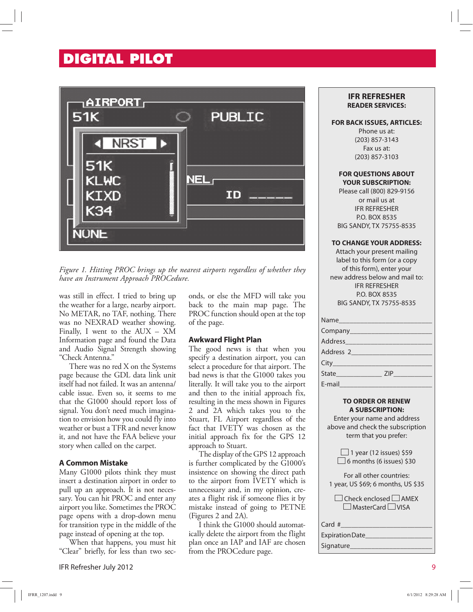# **DIGITAL PILOT**



*Figure 1. Hitting PROC brings up the nearest airports regardless of whether they have an Instrument Approach PROCedure.* 

was still in effect. I tried to bring up the weather for a large, nearby airport. No METAR, no TAF, nothing. There was no NEXRAD weather showing. Finally, I went to the AUX – XM Information page and found the Data and Audio Signal Strength showing "Check Antenna."

There was no red X on the Systems page because the GDL data link unit itself had not failed. It was an antenna/ cable issue. Even so, it seems to me that the G1000 should report loss of signal. You don't need much imagination to envision how you could fly into weather or bust a TFR and never know it, and not have the FAA believe your story when called on the carpet.

## **A Common Mistake**

Many G1000 pilots think they must insert a destination airport in order to pull up an approach. It is not necessary. You can hit PROC and enter any airport you like. Sometimes the PROC page opens with a drop-down menu for transition type in the middle of the page instead of opening at the top.

When that happens, you must hit "Clear" briefly, for less than two sec-

IFR Refresher July 2012 9

onds, or else the MFD will take you back to the main map page. The PROC function should open at the top of the page.

#### **Awkward Flight Plan**

The good news is that when you specify a destination airport, you can select a procedure for that airport. The bad news is that the G1000 takes you literally. It will take you to the airport and then to the initial approach fix, resulting in the mess shown in Figures 2 and 2A which takes you to the Stuart, FL Airport regardless of the fact that IVETY was chosen as the initial approach fix for the GPS 12 approach to Stuart.

The display of the GPS 12 approach is further complicated by the G1000's insistence on showing the direct path to the airport from IVETY which is unnecessary and, in my opinion, creates a flight risk if someone flies it by mistake instead of going to PETNE (Figures 2 and 2A).

I think the G1000 should automatically delete the airport from the flight plan once an IAP and IAF are chosen from the PROCedure page.

#### **IFR REFRESHER READER SERVICES:**

#### **FOR BACK ISSUES, ARTICLES:**

Phone us at: (203) 857-3143 Fax us at: (203) 857-3103

#### **FOR QUESTIONS ABOUT YOUR SUBSCRIPTION:**

Please call (800) 829-9156 or mail us at IFR REFRESHER P.O. BOX 8535 BIG SANDY, TX 75755-8535

#### **TO CHANGE YOUR ADDRESS:**

Attach your present mailing label to this form (or a copy of this form), enter your new address below and mail to: IFR REFRESHER P.O. BOX 8535 BIG SANDY, TX 75755-8535

| Address_____________________ |  |
|------------------------------|--|
| Address 2                    |  |
|                              |  |
| State ZIP                    |  |
| E-mail                       |  |

#### **TO ORDER OR RENEW A SUBSCRIPTION:**

Enter your name and address above and check the subscription term that you prefer:

> $\Box$  1 year (12 issues) \$59  $\Box$  6 months (6 issues) \$30

For all other countries: 1 year, US \$69; 6 months, US \$35

 $\Box$  Check enclosed  $\Box$  AMEX  $\Box$  MasterCard  $\Box$  VISA

Card #

# Expiration Date\_\_\_\_\_\_\_\_\_\_\_\_\_\_\_\_\_\_\_ Signature\_